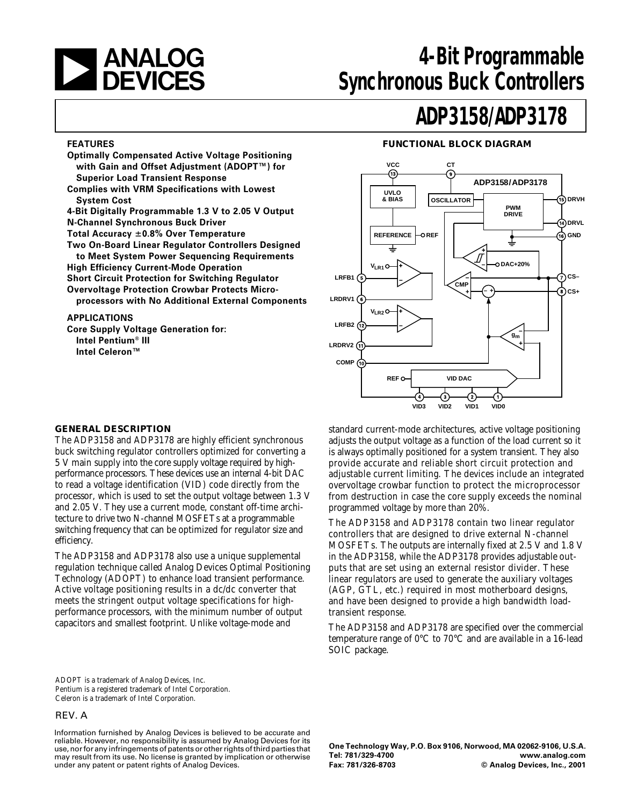

# **4-Bit Programmable Synchronous Buck Controllers**

#### **FEATURES**

**Optimally Compensated Active Voltage Positioning with Gain and Offset Adjustment (ADOPT™) for Superior Load Transient Response Complies with VRM Specifications with Lowest System Cost 4-Bit Digitally Programmable 1.3 V to 2.05 V Output N-Channel Synchronous Buck Driver Total Accuracy 0.8% Over Temperature Two On-Board Linear Regulator Controllers Designed to Meet System Power Sequencing Requirements High Efficiency Current-Mode Operation Short Circuit Protection for Switching Regulator Overvoltage Protection Crowbar Protects Microprocessors with No Additional External Components**

#### **APPLICATIONS**

**Core Supply Voltage Generation for: Intel Pentium® III Intel Celeron™**

# **ADP3158/ADP3178**

#### **FUNCTIONAL BLOCK DIAGRAM**



#### **GENERAL DESCRIPTION**

The ADP3158 and ADP3178 are highly efficient synchronous buck switching regulator controllers optimized for converting a 5 V main supply into the core supply voltage required by highperformance processors. These devices use an internal 4-bit DAC to read a voltage identification (VID) code directly from the processor, which is used to set the output voltage between 1.3 V and 2.05 V. They use a current mode, constant off-time architecture to drive two N-channel MOSFETs at a programmable switching frequency that can be optimized for regulator size and efficiency.

The ADP3158 and ADP3178 also use a unique supplemental regulation technique called Analog Devices Optimal Positioning Technology (ADOPT) to enhance load transient performance. Active voltage positioning results in a dc/dc converter that meets the stringent output voltage specifications for highperformance processors, with the minimum number of output capacitors and smallest footprint. Unlike voltage-mode and

standard current-mode architectures, active voltage positioning adjusts the output voltage as a function of the load current so it is always optimally positioned for a system transient. They also provide accurate and reliable short circuit protection and adjustable current limiting. The devices include an integrated overvoltage crowbar function to protect the microprocessor from destruction in case the core supply exceeds the nominal programmed voltage by more than 20%.

The ADP3158 and ADP3178 contain two linear regulator controllers that are designed to drive external N-channel MOSFETs. The outputs are internally fixed at 2.5 V and 1.8 V in the ADP3158, while the ADP3178 provides adjustable outputs that are set using an external resistor divider. These linear regulators are used to generate the auxiliary voltages (AGP, GTL, etc.) required in most motherboard designs, and have been designed to provide a high bandwidth loadtransient response.

The ADP3158 and ADP3178 are specified over the commercial temperature range of 0°C to 70°C and are available in a 16-lead SOIC package.

ADOPT is a trademark of Analog Devices, Inc. Pentium is a registered trademark of Intel Corporation. Celeron is a trademark of Intel Corporation.

#### REV. A

Information furnished by Analog Devices is believed to be accurate and reliable. However, no responsibility is assumed by Analog Devices for its use, nor for any infringements of patents or other rights of third parties that may result from its use. No license is granted by implication or otherwise under any patent or patent rights of Analog Devices.

**One Technology Way, P.O. Box 9106, Norwood, MA 02062-9106, U.S.A. Tel: 781/329-4700 www.analog.com Fax: 781/326-8703 © Analog Devices, Inc., 2001**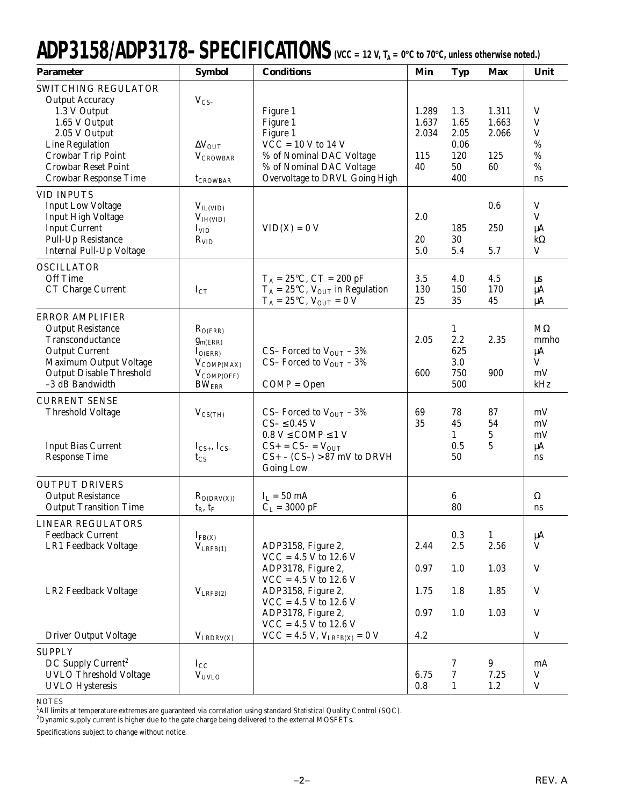# ADP3158/ADP3178-SPECIFICATIONS (VCC = 12 V, T<sub>A</sub> = 0°C to 70°C, unless otherwise noted.)

| <b>Parameter</b>                                                                                                                                                                                | <b>Symbol</b>                                                                                    | <b>Conditions</b>                                                                                                                                                               | Min                                  | <b>Typ</b>                                      | <b>Max</b>                           | Unit                                                                  |
|-------------------------------------------------------------------------------------------------------------------------------------------------------------------------------------------------|--------------------------------------------------------------------------------------------------|---------------------------------------------------------------------------------------------------------------------------------------------------------------------------------|--------------------------------------|-------------------------------------------------|--------------------------------------|-----------------------------------------------------------------------|
| SWITCHING REGULATOR<br><b>Output Accuracy</b><br>1.3 V Output<br>1.65 V Output<br>2.05 V Output<br>Line Regulation<br>Crowbar Trip Point<br><b>Crowbar Reset Point</b><br>Crowbar Response Time | $V_{CS}$<br>$\Delta V_{\rm OUT}$<br><b>VCROWBAR</b><br>t <sub>CROWBAR</sub>                      | Figure 1<br>Figure 1<br>Figure 1<br>$VCC = 10 V to 14 V$<br>% of Nominal DAC Voltage<br>% of Nominal DAC Voltage<br>Overvoltage to DRVL Going High                              | 1.289<br>1.637<br>2.034<br>115<br>40 | 1.3<br>1.65<br>2.05<br>0.06<br>120<br>50<br>400 | 1.311<br>1.663<br>2.066<br>125<br>60 | V<br>$\mathbf V$<br>$\ensuremath{\mathsf{V}}$<br>%<br>%<br>$\%$<br>ns |
| <b>VID INPUTS</b><br><b>Input Low Voltage</b><br><b>Input High Voltage</b><br><b>Input Current</b><br>Pull-Up Resistance<br>Internal Pull-Up Voltage                                            | $V_{IL(VID)}$<br>V <sub>IH(VID)</sub><br>$I_{VID}$<br>$R_{VID}$                                  | $VID(X) = 0 V$                                                                                                                                                                  | 2.0<br>20<br>5.0                     | 185<br>30<br>5.4                                | 0.6<br>250<br>5.7                    | V<br>$\mathbf V$<br>μA<br>$k\Omega$<br>$\mathbf V$                    |
| <b>OSCILLATOR</b><br>Off Time<br>CT Charge Current                                                                                                                                              | $I_{CT}$                                                                                         | $T_A = 25$ °C, CT = 200 pF<br>$T_A = 25$ °C, V <sub>OUT</sub> in Regulation<br>$T_A = 25$ °C, $V_{OUT} = 0 V$                                                                   | 3.5<br>130<br>25                     | 4.0<br>150<br>35                                | 4.5<br>170<br>45                     | $\mu s$<br>μA<br>μA                                                   |
| <b>ERROR AMPLIFIER</b><br><b>Output Resistance</b><br>Transconductance<br><b>Output Current</b><br>Maximum Output Voltage<br><b>Output Disable Threshold</b><br>-3 dB Bandwidth                 | $R_{O(ERR)}$<br>$g_{m(ERR)}$<br>$I_{O(ERR)}$<br>$V_{COMP(MAX)}$<br>$V_{COMP(OFF)}$<br>$BW_{ERR}$ | CS-Forced to $V_{\text{OUT}}$ - 3%<br>CS-Forced to $V_{OUT}$ - 3%<br>$COMP = Open$                                                                                              | 2.05<br>600                          | $\mathbf{1}$<br>2.2<br>625<br>3.0<br>750<br>500 | 2.35<br>900                          | $M\Omega$<br>mmho<br>$\mu A$<br>V<br>mV<br>kHz                        |
| <b>CURRENT SENSE</b><br><b>Threshold Voltage</b><br><b>Input Bias Current</b><br><b>Response Time</b>                                                                                           | $V_{CS(TH)}$<br>$I_{CS+}$ , $I_{CS-}$<br>$t_{CS}$                                                | CS-Forced to $V_{\text{OUT}}$ – 3%<br>$CS$ - $\leq$ 0.45 V<br>$0.8 V \leq COMP \leq 1 V$<br>$CS$ + = $CS$ - = $V_{OUT}$<br>$CS$ + – $(CS-)$ > 87 mV to DRVH<br><b>Going Low</b> | 69<br>35                             | 78<br>45<br>$\mathbf{1}$<br>0.5<br>50           | 87<br>54<br>5<br>5                   | mV<br>mV<br>mV<br>μA<br>ns                                            |
| <b>OUTPUT DRIVERS</b><br><b>Output Resistance</b><br><b>Output Transition Time</b>                                                                                                              | $R_{O(DRV(X))}$<br>$t_R$ , $t_F$                                                                 | $I_L = 50 \text{ mA}$<br>$C_L = 3000 \text{ pF}$                                                                                                                                |                                      | 6<br>80                                         |                                      | Ω<br>ns                                                               |
| <b>LINEAR REGULATORS</b><br><b>Feedback Current</b><br>LR1 Feedback Voltage                                                                                                                     | $I_{FB(X)}$<br>$V_{LRFB(1)}$                                                                     | ADP3158, Figure 2,<br>$VCC = 4.5 V to 12.6 V$<br>ADP3178, Figure 2,                                                                                                             | 2.44<br>0.97                         | 0.3<br>2.5<br>1.0                               | $\mathbf{1}$<br>2.56<br>1.03         | μA<br>V<br>V                                                          |
| LR2 Feedback Voltage                                                                                                                                                                            | $V_{LRFB(2)}$                                                                                    | $VCC = 4.5 V to 12.6 V$<br>ADP3158, Figure 2,<br>$VCC = 4.5 V to 12.6 V$<br>ADP3178, Figure 2,                                                                                  | 1.75<br>0.97                         | 1.8<br>1.0                                      | 1.85<br>1.03                         | V<br>V                                                                |
| <b>Driver Output Voltage</b>                                                                                                                                                                    | $V_{LRDRV(X)}$                                                                                   | $VCC = 4.5 V to 12.6 V$<br>$VCC = 4.5 V, V_{LRFB(X)} = 0 V$                                                                                                                     | 4.2                                  |                                                 |                                      | $\mathbf V$                                                           |
| <b>SUPPLY</b><br>DC Supply Current <sup>2</sup><br><b>UVLO</b> Threshold Voltage<br><b>UVLO</b> Hysteresis                                                                                      | $I_{\rm CC}$<br><b>VUVLO</b>                                                                     |                                                                                                                                                                                 | 6.75<br>0.8                          | 7<br>7<br>$\mathbf{1}$                          | $9\phantom{.0}$<br>7.25<br>1.2       | mA<br>$\ensuremath{\mathsf{V}}$<br>$\mathbf V$                        |

NOTES

1 All limits at temperature extremes are guaranteed via correlation using standard Statistical Quality Control (SQC). 2 Dynamic supply current is higher due to the gate charge being delivered to the external MOSFETs.

Specifications subject to change without notice.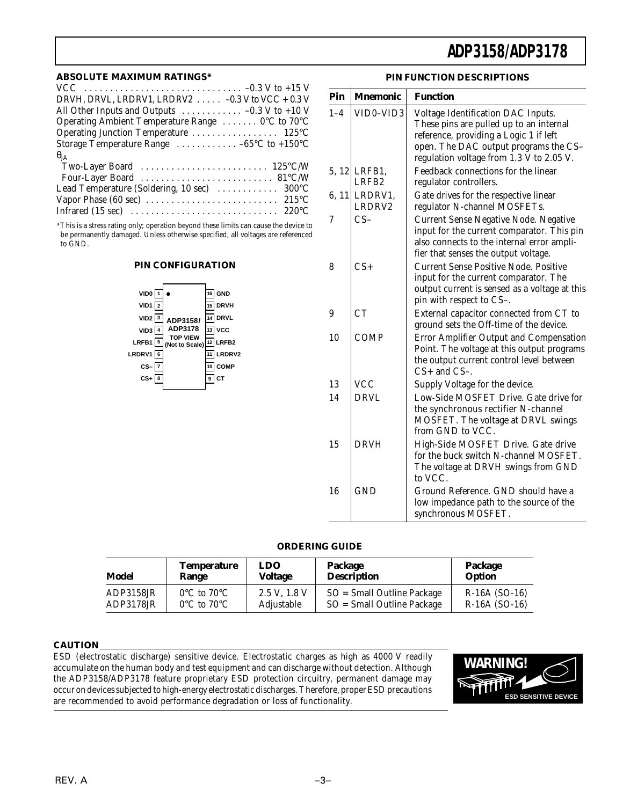#### **ABSOLUTE MAXIMUM RATINGS\***

| DRVH, DRVL, LRDRV1, LRDRV2 $\ldots$ -0.3 V to VCC + 0.3 V                                                                                                                                                                       |
|---------------------------------------------------------------------------------------------------------------------------------------------------------------------------------------------------------------------------------|
| All Other Inputs and Outputs $\dots \dots \dots \dots -0.3$ V to +10 V                                                                                                                                                          |
| Operating Ambient Temperature Range  0°C to 70°C                                                                                                                                                                                |
|                                                                                                                                                                                                                                 |
| Storage Temperature Range $\dots\dots\dots\dots -65$ °C to +150°C                                                                                                                                                               |
| $\theta_{JA}$                                                                                                                                                                                                                   |
|                                                                                                                                                                                                                                 |
|                                                                                                                                                                                                                                 |
| Lead Temperature (Soldering, 10 sec)  300°C                                                                                                                                                                                     |
|                                                                                                                                                                                                                                 |
|                                                                                                                                                                                                                                 |
| $\sim$ and a set of the set of the set of the set of the set of the set of the set of the set of the set of the set of the set of the set of the set of the set of the set of the set of the set of the set of the set of the s |

\*This is a stress rating only; operation beyond these limits can cause the device to be permanently damaged. Unless otherwise specified, all voltages are referenced to GND.

### **PIN CONFIGURATION**



#### **PIN FUNCTION DESCRIPTIONS**

| Pin     | <b>Mnemonic</b>                   | <b>Function</b>                                                                                                                                                                                              |
|---------|-----------------------------------|--------------------------------------------------------------------------------------------------------------------------------------------------------------------------------------------------------------|
| $1 - 4$ | VID0-VID3                         | Voltage Identification DAC Inputs.<br>These pins are pulled up to an internal<br>reference, providing a Logic 1 if left<br>open. The DAC output programs the CS-<br>regulation voltage from 1.3 V to 2.05 V. |
|         | 5, 12 LRFB1,<br>LRFB <sub>2</sub> | Feedback connections for the linear<br>regulator controllers.                                                                                                                                                |
|         | 6, 11 LRDRV1,<br>LRDRV2           | Gate drives for the respective linear<br>regulator N-channel MOSFETs.                                                                                                                                        |
| 7       | $CS-$                             | <b>Current Sense Negative Node. Negative</b><br>input for the current comparator. This pin<br>also connects to the internal error ampli-<br>fier that senses the output voltage.                             |
| 8       | $CS+$                             | <b>Current Sense Positive Node. Positive</b><br>input for the current comparator. The<br>output current is sensed as a voltage at this<br>pin with respect to CS-.                                           |
| 9       | CT                                | External capacitor connected from CT to<br>ground sets the Off-time of the device.                                                                                                                           |
| 10      | <b>COMP</b>                       | Error Amplifier Output and Compensation<br>Point. The voltage at this output programs<br>the output current control level between<br>$CS+$ and $CS-$ .                                                       |
| 13      | <b>VCC</b>                        | Supply Voltage for the device.                                                                                                                                                                               |
| 14      | DRVI.                             | Low-Side MOSFET Drive. Gate drive for<br>the synchronous rectifier N-channel<br>MOSFET. The voltage at DRVL swings<br>from GND to VCC.                                                                       |
| 15      | <b>DRVH</b>                       | High-Side MOSFET Drive. Gate drive<br>for the buck switch N-channel MOSFET.<br>The voltage at DRVH swings from GND<br>to VCC.                                                                                |
| 16      | <b>GND</b>                        | Ground Reference. GND should have a<br>low impedance path to the source of the<br>synchronous MOSFET.                                                                                                        |

#### **ORDERING GUIDE**

| Model     | Temperature                     | <b>LDO</b>   | Package                      | Package         |
|-----------|---------------------------------|--------------|------------------------------|-----------------|
|           | Range                           | Voltage      | <b>Description</b>           | Option          |
| ADP3158JR | $0^{\circ}$ C to $70^{\circ}$ C | 2.5 V, 1.8 V | $SO = Small$ Outline Package | $R-16A$ (SO-16) |
| ADP3178JR | $0^{\circ}$ C to $70^{\circ}$ C | Adjustable   | $SO = Small$ Outline Package | $R-16A$ (SO-16) |

#### **CAUTION**

ESD (electrostatic discharge) sensitive device. Electrostatic charges as high as 4000 V readily accumulate on the human body and test equipment and can discharge without detection. Although the ADP3158/ADP3178 feature proprietary ESD protection circuitry, permanent damage may occur on devices subjected to high-energy electrostatic discharges. Therefore, proper ESD precautions are recommended to avoid performance degradation or loss of functionality.

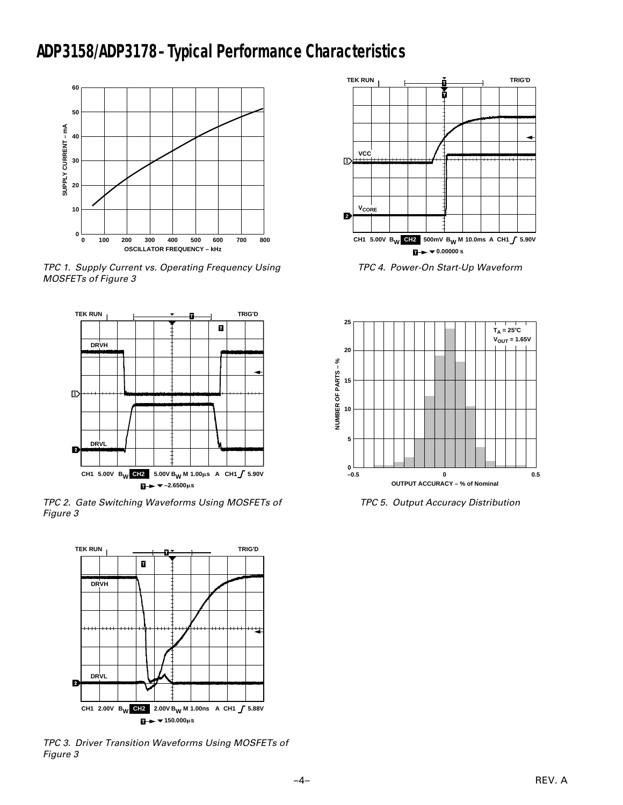## **ADP3158/ADP3178 –Typical Performance Characteristics**



TPC 1. Supply Current vs. Operating Frequency Using MOSFETs of Figure 3



TPC 2. Gate Switching Waveforms Using MOSFETs of Figure 3



TPC 3. Driver Transition Waveforms Using MOSFETs of Figure 3



TPC 4. Power-On Start-Up Waveform



TPC 5. Output Accuracy Distribution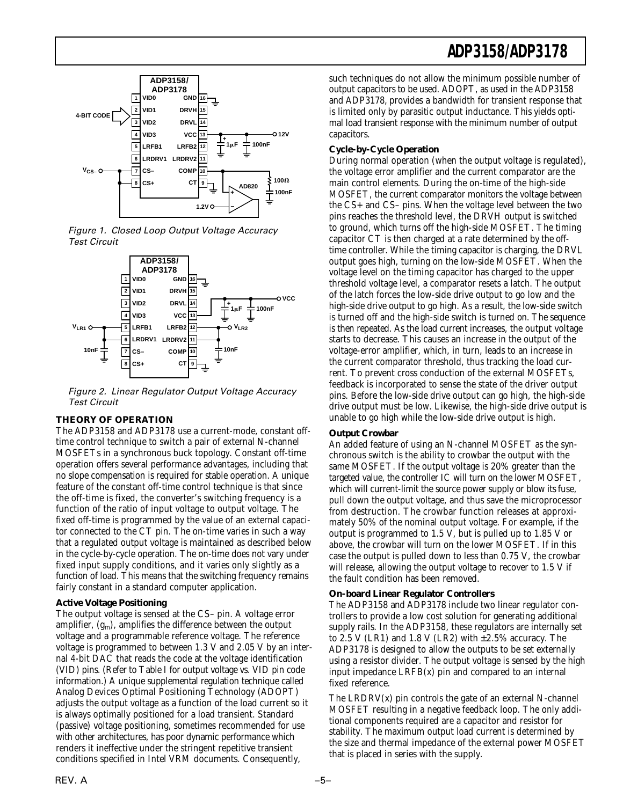





Figure 2. Linear Regulator Output Voltage Accuracy Test Circuit

### **THEORY OF OPERATION**

The ADP3158 and ADP3178 use a current-mode, constant offtime control technique to switch a pair of external N-channel MOSFETs in a synchronous buck topology. Constant off-time operation offers several performance advantages, including that no slope compensation is required for stable operation. A unique feature of the constant off-time control technique is that since the off-time is fixed, the converter's switching frequency is a function of the ratio of input voltage to output voltage. The fixed off-time is programmed by the value of an external capacitor connected to the CT pin. The on-time varies in such a way that a regulated output voltage is maintained as described below in the cycle-by-cycle operation. The on-time does not vary under fixed input supply conditions, and it varies only slightly as a function of load. This means that the switching frequency remains fairly constant in a standard computer application.

### **Active Voltage Positioning**

The output voltage is sensed at the CS– pin. A voltage error amplifier,  $(g_m)$ , amplifies the difference between the output voltage and a programmable reference voltage. The reference voltage is programmed to between 1.3 V and 2.05 V by an internal 4-bit DAC that reads the code at the voltage identification (VID) pins. (Refer to Table I for output voltage vs. VID pin code information.) A unique supplemental regulation technique called Analog Devices Optimal Positioning Technology (ADOPT) adjusts the output voltage as a function of the load current so it is always optimally positioned for a load transient. Standard (passive) voltage positioning, sometimes recommended for use with other architectures, has poor dynamic performance which renders it ineffective under the stringent repetitive transient conditions specified in Intel VRM documents. Consequently,

such techniques do not allow the minimum possible number of output capacitors to be used. ADOPT, as used in the ADP3158 and ADP3178, provides a bandwidth for transient response that is limited only by parasitic output inductance. This yields optimal load transient response with the minimum number of output capacitors.

### **Cycle-by-Cycle Operation**

During normal operation (when the output voltage is regulated), the voltage error amplifier and the current comparator are the main control elements. During the on-time of the high-side MOSFET, the current comparator monitors the voltage between the CS+ and CS– pins. When the voltage level between the two pins reaches the threshold level, the DRVH output is switched to ground, which turns off the high-side MOSFET. The timing capacitor CT is then charged at a rate determined by the offtime controller. While the timing capacitor is charging, the DRVL output goes high, turning on the low-side MOSFET. When the voltage level on the timing capacitor has charged to the upper threshold voltage level, a comparator resets a latch. The output of the latch forces the low-side drive output to go low and the high-side drive output to go high. As a result, the low-side switch is turned off and the high-side switch is turned on. The sequence is then repeated. As the load current increases, the output voltage starts to decrease. This causes an increase in the output of the voltage-error amplifier, which, in turn, leads to an increase in the current comparator threshold, thus tracking the load current. To prevent cross conduction of the external MOSFETs, feedback is incorporated to sense the state of the driver output pins. Before the low-side drive output can go high, the high-side drive output must be low. Likewise, the high-side drive output is unable to go high while the low-side drive output is high.

#### **Output Crowbar**

An added feature of using an N-channel MOSFET as the synchronous switch is the ability to crowbar the output with the same MOSFET. If the output voltage is 20% greater than the targeted value, the controller IC will turn on the lower MOSFET, which will current-limit the source power supply or blow its fuse, pull down the output voltage, and thus save the microprocessor from destruction. The crowbar function releases at approximately 50% of the nominal output voltage. For example, if the output is programmed to 1.5 V, but is pulled up to 1.85 V or above, the crowbar will turn on the lower MOSFET. If in this case the output is pulled down to less than 0.75 V, the crowbar will release, allowing the output voltage to recover to 1.5 V if the fault condition has been removed.

#### **On-board Linear Regulator Controllers**

The ADP3158 and ADP3178 include two linear regulator controllers to provide a low cost solution for generating additional supply rails. In the ADP3158, these regulators are internally set to 2.5 V (LR1) and 1.8 V (LR2) with  $\pm$  2.5% accuracy. The ADP3178 is designed to allow the outputs to be set externally using a resistor divider. The output voltage is sensed by the high input impedance LRFB(x) pin and compared to an internal fixed reference.

The  $LRDRV(x)$  pin controls the gate of an external N-channel MOSFET resulting in a negative feedback loop. The only additional components required are a capacitor and resistor for stability. The maximum output load current is determined by the size and thermal impedance of the external power MOSFET that is placed in series with the supply.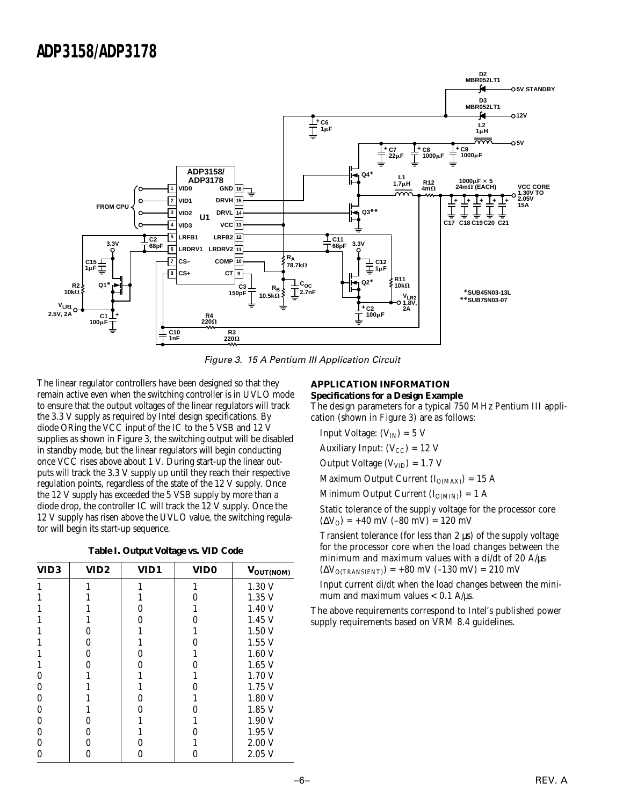

Figure 3. 15 A Pentium III Application Circuit

The linear regulator controllers have been designed so that they remain active even when the switching controller is in UVLO mode to ensure that the output voltages of the linear regulators will track the 3.3 V supply as required by Intel design specifications. By diode ORing the VCC input of the IC to the 5 VSB and 12 V supplies as shown in Figure 3, the switching output will be disabled in standby mode, but the linear regulators will begin conducting once VCC rises above about 1 V. During start-up the linear outputs will track the 3.3 V supply up until they reach their respective regulation points, regardless of the state of the 12 V supply. Once the 12 V supply has exceeded the 5 VSB supply by more than a diode drop, the controller IC will track the 12 V supply. Once the 12 V supply has risen above the UVLO value, the switching regulator will begin its start-up sequence.

|  |  | Table I. Output Voltage vs. VID Code |  |  |
|--|--|--------------------------------------|--|--|
|--|--|--------------------------------------|--|--|

| VID <sub>3</sub> | VID <sub>2</sub> | VID1 | VID <sub>0</sub> | VOUT(NOM) |
|------------------|------------------|------|------------------|-----------|
|                  |                  |      |                  | 1.30 V    |
|                  |                  |      | 0                | 1.35V     |
|                  |                  | 0    |                  | 1.40 V    |
|                  |                  | 0    | 0                | 1.45V     |
|                  | 0                |      | 1                | 1.50V     |
|                  | 0                |      | 0                | 1.55V     |
|                  | 0                | 0    |                  | 1.60V     |
|                  | 0                | 0    | N                | $1.65$ V  |
| 0                |                  |      |                  | 1.70V     |
| 0                |                  |      | 0                | 1.75V     |
| 0                |                  | 0    |                  | 1.80 V    |
| 0                |                  | O    | O                | 1.85V     |
| 0                | 0                |      |                  | 1.90V     |
| 0                | 0                |      | O                | 1.95V     |
| 0                | 0                | O    |                  | 2.00V     |
| 0                |                  |      |                  | 2.05V     |

#### **APPLICATION INFORMATION Specifications for a Design Example**

The design parameters for a typical 750 MHz Pentium III application (shown in Figure 3) are as follows:

Input Voltage:  $(V_{IN}) = 5 V$ Auxiliary Input:  $(V_{CC}) = 12$  V Output Voltage  $(V_{VID}) = 1.7 V$ Maximum Output Current  $(I_{O(MAX)}) = 15$  A Minimum Output Current  $(I_{O(MIN)}) = 1$  A Static tolerance of the supply voltage for the processor core

 $(\Delta V_{O})$  = +40 mV (–80 mV) = 120 mV

Transient tolerance (for less than 2 µs) of the supply voltage for the processor core when the load changes between the minimum and maximum values with a di/dt of 20 A/µs  $(\Delta V_{O(TRANSIENT)}) = +80$  mV (-130 mV) = 210 mV

Input current di/dt when the load changes between the minimum and maximum values  $< 0.1$  A/ $\mu$ s.

The above requirements correspond to Intel's published power supply requirements based on VRM 8.4 guidelines.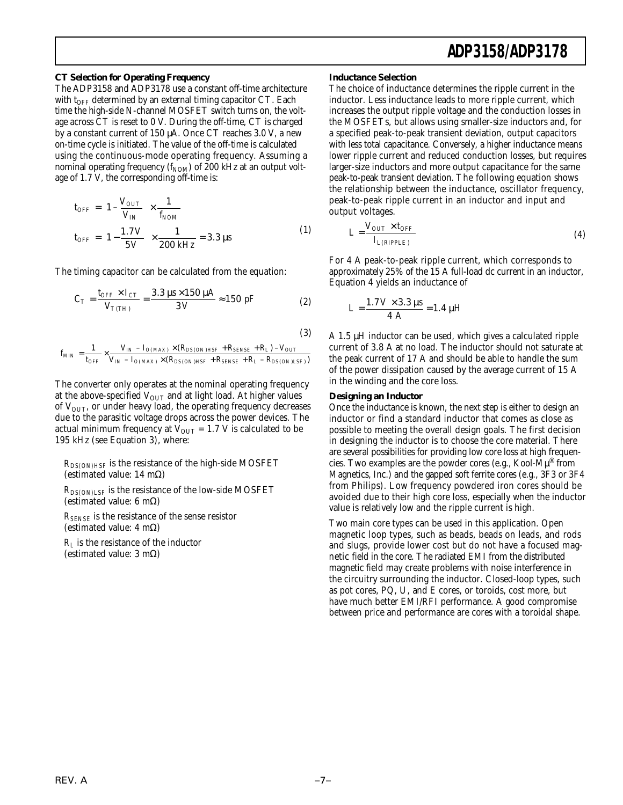#### **CT Selection for Operating Frequency**

The ADP3158 and ADP3178 use a constant off-time architecture with  $t_{\rm OFF}$  determined by an external timing capacitor CT. Each time the high-side N-channel MOSFET switch turns on, the voltage across CT is reset to 0 V. During the off-time, CT is charged by a constant current of 150 µA. Once CT reaches 3.0 V, a new on-time cycle is initiated. The value of the off-time is calculated using the continuous-mode operating frequency. Assuming a nominal operating frequency  $(f_{\text{NOM}})$  of 200 kHz at an output voltage of 1.7 V, the corresponding off-time is:

$$
t_{OFF} = \left(1 - \frac{V_{OUT}}{V_{IN}}\right) \times \frac{1}{f_{NOM}}
$$
  

$$
t_{OFF} = \left(1 - \frac{1.7 V}{5 V}\right) \times \frac{1}{200 \, kHz} = 3.3 \, \mu s
$$
 (1)

The timing capacitor can be calculated from the equation:

$$
C_T = \frac{t_{OFF} \times I_{CT}}{V_{T(TH)}} = \frac{3.3 \,\mu s \times 150 \,\mu A}{3 \,V} \approx 150 \,\,pF \tag{2}
$$

(3)

$$
f_{MIN} = \frac{1}{t_{OFF}} \times \frac{V_{IN} - I_{O(MAX)} \times (R_{DS(ON)HSF} + R_{SENSE} + R_L) - V_{OUT}}{V_{IN} - I_{O(MAX)} \times (R_{DS(ON)HSF} + R_{SENSE} + R_L - R_{DS(ON)LSF)})}
$$

The converter only operates at the nominal operating frequency at the above-specified  $V_{\text{OUT}}$  and at light load. At higher values of  $V<sub>OUT</sub>$ , or under heavy load, the operating frequency decreases due to the parasitic voltage drops across the power devices. The actual minimum frequency at  $V_{\text{OUT}} = 1.7 \text{ V}$  is calculated to be 195 kHz (see Equation 3), where:

*RDS(ON)HSF* is the resistance of the high-side MOSFET (estimated value: 14 mΩ)

 $R_{DS(ON)LSF}$  is the resistance of the low-side MOSFET (estimated value: 6 mΩ)

*RSENSE* is the resistance of the sense resistor (estimated value: 4 mΩ)

 $R_L$  is the resistance of the inductor (estimated value: 3 mΩ)

#### **Inductance Selection**

The choice of inductance determines the ripple current in the inductor. Less inductance leads to more ripple current, which increases the output ripple voltage and the conduction losses in the MOSFETs, but allows using smaller-size inductors and, for a specified peak-to-peak transient deviation, output capacitors with less total capacitance. Conversely, a higher inductance means lower ripple current and reduced conduction losses, but requires larger-size inductors and more output capacitance for the same peak-to-peak transient deviation. The following equation shows the relationship between the inductance, oscillator frequency, peak-to-peak ripple current in an inductor and input and output voltages.

$$
L = \frac{V_{OUT} \times t_{OFF}}{I_{L(RIPPLE)}}
$$
\n<sup>(4)</sup>

For 4 A peak-to-peak ripple current, which corresponds to approximately 25% of the 15 A full-load dc current in an inductor, Equation 4 yields an inductance of

$$
L = \frac{1.7 V \times 3.3 \,\mu s}{4 \,A} = 1.4 \,\mu H
$$

A 1.5 µH inductor can be used, which gives a calculated ripple current of 3.8 A at no load. The inductor should not saturate at the peak current of 17 A and should be able to handle the sum of the power dissipation caused by the average current of 15 A in the winding and the core loss.

#### **Designing an Inductor**

Once the inductance is known, the next step is either to design an inductor or find a standard inductor that comes as close as possible to meeting the overall design goals. The first decision in designing the inductor is to choose the core material. There are several possibilities for providing low core loss at high frequencies. Two examples are the powder cores (e.g., Kool-M $\mu^{\circledR}$  from Magnetics, Inc.) and the gapped soft ferrite cores (e.g., 3F3 or 3F4 from Philips). Low frequency powdered iron cores should be avoided due to their high core loss, especially when the inductor value is relatively low and the ripple current is high.

Two main core types can be used in this application. Open magnetic loop types, such as beads, beads on leads, and rods and slugs, provide lower cost but do not have a focused magnetic field in the core. The radiated EMI from the distributed magnetic field may create problems with noise interference in the circuitry surrounding the inductor. Closed-loop types, such as pot cores, PQ, U, and E cores, or toroids, cost more, but have much better EMI/RFI performance. A good compromise between price and performance are cores with a toroidal shape.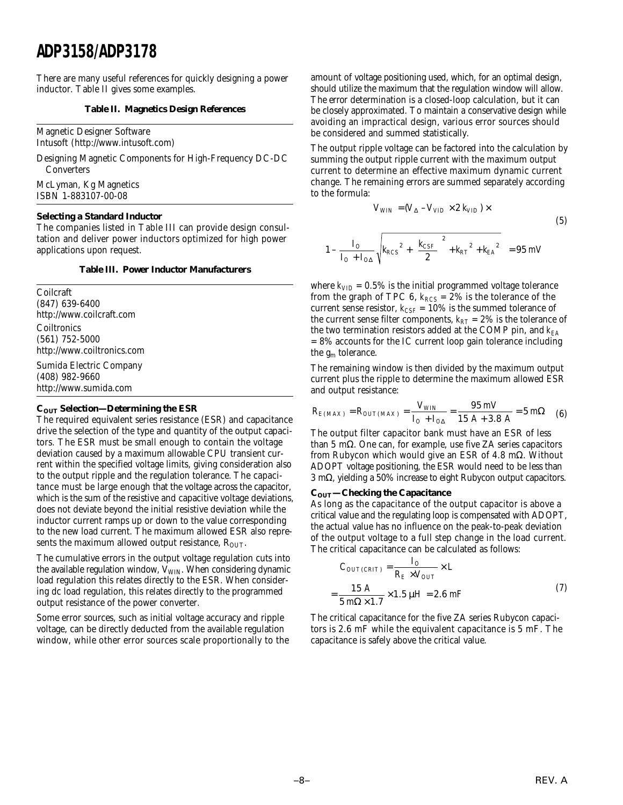There are many useful references for quickly designing a power inductor. Table II gives some examples.

#### **Table II. Magnetics Design References**

Magnetic Designer Software Intusoft (http://www.intusoft.com)

Designing Magnetic Components for High-Frequency DC-DC **Converters** 

McLyman, Kg Magnetics ISBN 1-883107-00-08

#### **Selecting a Standard Inductor**

The companies listed in Table III can provide design consultation and deliver power inductors optimized for high power applications upon request.

#### **Table III. Power Inductor Manufacturers**

Coilcraft (847) 639-6400 http://www.coilcraft.com Coiltronics (561) 752-5000 http://www.coiltronics.com

Sumida Electric Company (408) 982-9660 http://www.sumida.com

#### **COUT Selection—Determining the ESR**

The required equivalent series resistance (ESR) and capacitance drive the selection of the type and quantity of the output capacitors. The ESR must be small enough to contain the voltage deviation caused by a maximum allowable CPU transient current within the specified voltage limits, giving consideration also to the output ripple and the regulation tolerance. The capacitance must be large enough that the voltage across the capacitor, which is the sum of the resistive and capacitive voltage deviations, does not deviate beyond the initial resistive deviation while the inductor current ramps up or down to the value corresponding to the new load current. The maximum allowed ESR also represents the maximum allowed output resistance,  $R_{\text{OUT}}$ .

The cumulative errors in the output voltage regulation cuts into the available regulation window,  $V_{\text{WIN}}$ . When considering dynamic load regulation this relates directly to the ESR. When considering dc load regulation, this relates directly to the programmed output resistance of the power converter.

Some error sources, such as initial voltage accuracy and ripple voltage, can be directly deducted from the available regulation window, while other error sources scale proportionally to the amount of voltage positioning used, which, for an optimal design, should utilize the maximum that the regulation window will allow. The error determination is a closed-loop calculation, but it can be closely approximated. To maintain a conservative design while avoiding an impractical design, various error sources should be considered and summed statistically.

The output ripple voltage can be factored into the calculation by summing the output ripple current with the maximum output current to determine an effective maximum dynamic current change. The remaining errors are summed separately according to the formula:

$$
V_{WIN} = (V_{\Delta} - V_{VID} \times 2 \ k_{VID}) \times
$$
\n
$$
1 - \frac{I_O}{I_O + I_{O\Delta}} \sqrt{k_{RCS}^2 + \left(\frac{k_{CSF}}{2}\right)^2 + k_{RT}^2 + k_{EA}^2} = 95 \ mV
$$
\n(5)

where  $k_{VID} = 0.5\%$  is the initial programmed voltage tolerance from the graph of TPC 6,  $k_{RCS} = 2\%$  is the tolerance of the current sense resistor,  $k_{CSF} = 10\%$  is the summed tolerance of the current sense filter components,  $k_{RT} = 2\%$  is the tolerance of the two termination resistors added at the COMP pin, and  $k_{EA}$ = 8% accounts for the IC current loop gain tolerance including the  $g_m$  tolerance.

The remaining window is then divided by the maximum output current plus the ripple to determine the maximum allowed ESR and output resistance:

$$
R_{E(MAX)} = R_{OUT(MAX)} = \frac{V_{WIN}}{I_O + I_{O\Delta}} = \frac{95 \text{ mV}}{15 \text{ A} + 3.8 \text{ A}} = 5 \text{ m}\Omega \quad (6)
$$

The output filter capacitor bank must have an ESR of less than 5 mΩ. One can, for example, use five ZA series capacitors from Rubycon which would give an ESR of 4.8 mΩ. Without ADOPT voltage positioning, the ESR would need to be less than 3 mΩ, yielding a 50% increase to eight Rubycon output capacitors.

#### **COUT—Checking the Capacitance**

ſ

l I I

As long as the capacitance of the output capacitor is above a critical value and the regulating loop is compensated with ADOPT, the actual value has no influence on the peak-to-peak deviation of the output voltage to a full step change in the load current. The critical capacitance can be calculated as follows:

$$
C_{OUT(CRIT)} = \frac{I_O}{R_E \times V_{OUT}} \times L
$$

$$
= \frac{15 \text{ A}}{5 \text{ m}\Omega \times 1.7} \times 1.5 \mu H = 2.6 \text{ mF}
$$
(7)

The critical capacitance for the five ZA series Rubycon capacitors is 2.6 mF while the equivalent capacitance is 5 mF. The capacitance is safely above the critical value.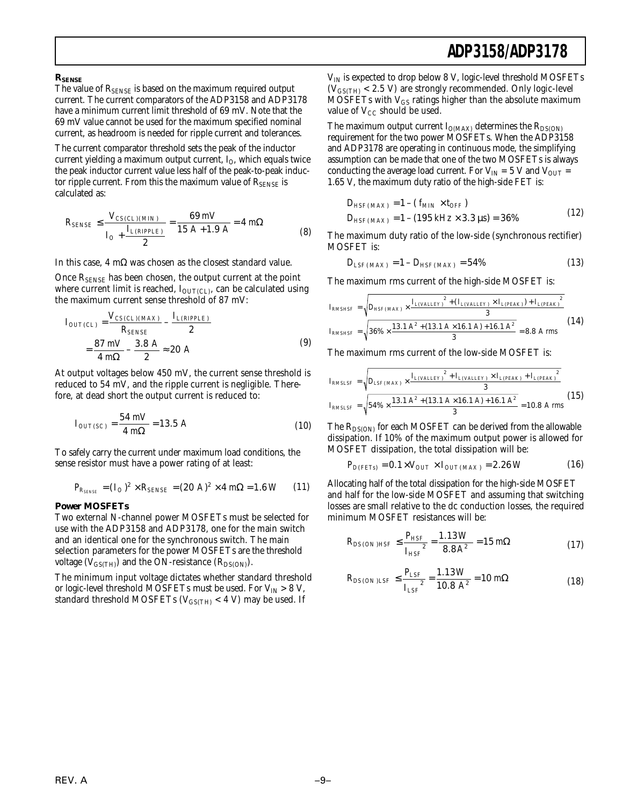#### **RSENSE**

The value of RSENSE is based on the maximum required output current. The current comparators of the ADP3158 and ADP3178 have a minimum current limit threshold of 69 mV. Note that the 69 mV value cannot be used for the maximum specified nominal current, as headroom is needed for ripple current and tolerances.

The current comparator threshold sets the peak of the inductor current yielding a maximum output current,  $I<sub>O</sub>$ , which equals twice the peak inductor current value less half of the peak-to-peak inductor ripple current. From this the maximum value of  $R_{\text{SENSE}}$  is calculated as:

$$
R_{SENSE} \le \frac{V_{CS(CL)(MIN)}}{I_O + \frac{I_{L(RIPPLE)}}{2}} = \frac{69 \, mV}{15 \, A + 1.9 \, A} = 4 \, m\Omega \tag{8}
$$

In this case, 4 mΩ was chosen as the closest standard value.

Once R<sub>SENSE</sub> has been chosen, the output current at the point where current limit is reached,  $I_{\text{OUT(CL)}}$ , can be calculated using the maximum current sense threshold of 87 mV:

$$
I_{OUTCL)} = \frac{V_{CSCL)(MAX}}{R_{SENE}} - \frac{I_{L(RIPPLE)}}{2}
$$
  
=  $\frac{87 \text{ mV}}{4 \text{ m}\Omega} - \frac{3.8 \text{ A}}{2} \approx 20 \text{ A}$  (9)

At output voltages below 450 mV, the current sense threshold is reduced to 54 mV, and the ripple current is negligible. Therefore, at dead short the output current is reduced to:

$$
I_{OUT(SC)} = \frac{54 \text{ mV}}{4 \text{ m}\Omega} = 13.5 \text{ A}
$$
 (10)

To safely carry the current under maximum load conditions, the sense resistor must have a power rating of at least:

$$
P_{R_{SE/NE}} = (I_O)^2 \times R_{SENSE} = (20 \text{ A})^2 \times 4 \text{ m}\Omega = 1.6 \text{ W} \qquad (11)
$$

#### **Power MOSFETs**

Two external N-channel power MOSFETs must be selected for use with the ADP3158 and ADP3178, one for the main switch and an identical one for the synchronous switch. The main selection parameters for the power MOSFETs are the threshold voltage ( $V_{\text{GS(TH)}}$ ) and the ON-resistance ( $R_{\text{DS(ON)}}$ ).

The minimum input voltage dictates whether standard threshold or logic-level threshold MOSFETs must be used. For  $V_{IN} > 8 V$ , standard threshold MOSFETs ( $V_{\text{GS(TH)}}$  < 4 V) may be used. If

 $V_{IN}$  is expected to drop below 8 V, logic-level threshold MOSFETs  $(V_{GS(TH)} < 2.5 V)$  are strongly recommended. Only logic-level MOSFETs with  $V_{GS}$  ratings higher than the absolute maximum value of  $V_{CC}$  should be used.

The maximum output current  $I_{O(MAX)}$  determines the  $R_{DS(ON)}$ requirement for the two power MOSFETs. When the ADP3158 and ADP3178 are operating in continuous mode, the simplifying assumption can be made that one of the two MOSFETs is always conducting the average load current. For  $V_{IN} = 5 V$  and  $V_{OUT} =$ 1.65 V, the maximum duty ratio of the high-side FET is:

$$
D_{HSF(MAX)} = 1 - (f_{MIN} \times t_{OFF})
$$
  
\n
$$
D_{HSF(MAX)} = 1 - (195 \, kHz \times 3.3 \, \mu s) = 36\%
$$
\n(12)

The maximum duty ratio of the low-side (synchronous rectifier) MOSFET is:

$$
D_{LSF(MAX)} = 1 - D_{HSF(MAX)} = 54\% \tag{13}
$$

The maximum rms current of the high-side MOSFET is:

$$
I_{RMSHSF} = \sqrt{D_{HSF(MAX)} \times \frac{I_{L(VALLET})^2 + (I_{L(VALLET}) \times I_{L(PEAR)}) + I_{L(PEAR)}^2}{3}}
$$
  

$$
I_{RMSHSF} = \sqrt{36\% \times \frac{13.1 A^2 + (13.1 A \times 16.1 A) + 16.1 A^2}{3}} = 8.8 A rms
$$
 (14)

The maximum rms current of the low-side MOSFET is:

$$
I_{RMSLSF} = \sqrt{D_{LSF(MAX)} \times \frac{I_{L(VALLEY)}^2 + I_{L(VALLEY)} \times I_{L(PEAK)} + I_{L(PEAK)}^2}{3}}
$$
  

$$
I_{RMSLSF} = \sqrt{54\% \times \frac{13.1 A^2 + (13.1 A \times 16.1 A) + 16.1 A^2}{3}} = 10.8 A rms
$$
(15)

The  $R_{DS(ON)}$  for each MOSFET can be derived from the allowable dissipation. If 10% of the maximum output power is allowed for MOSFET dissipation, the total dissipation will be:

$$
P_{D(FETs)} = 0.1 \times V_{OUT} \times I_{OUT(MAX)} = 2.26 W \tag{16}
$$

Allocating half of the total dissipation for the high-side MOSFET and half for the low-side MOSFET and assuming that switching losses are small relative to the dc conduction losses, the required minimum MOSFET resistances will be:

$$
R_{DS(ON)HSF} \le \frac{P_{HSF}}{I_{HSF}} = \frac{1.13 \, W}{8.8 \, A^2} = 15 \, m\Omega \tag{17}
$$

$$
R_{DS(ON)LSF} \le \frac{P_{LSF}}{I_{LSF}} = \frac{1.13 \, W}{10.8 \, A^2} = 10 \, m\Omega \tag{18}
$$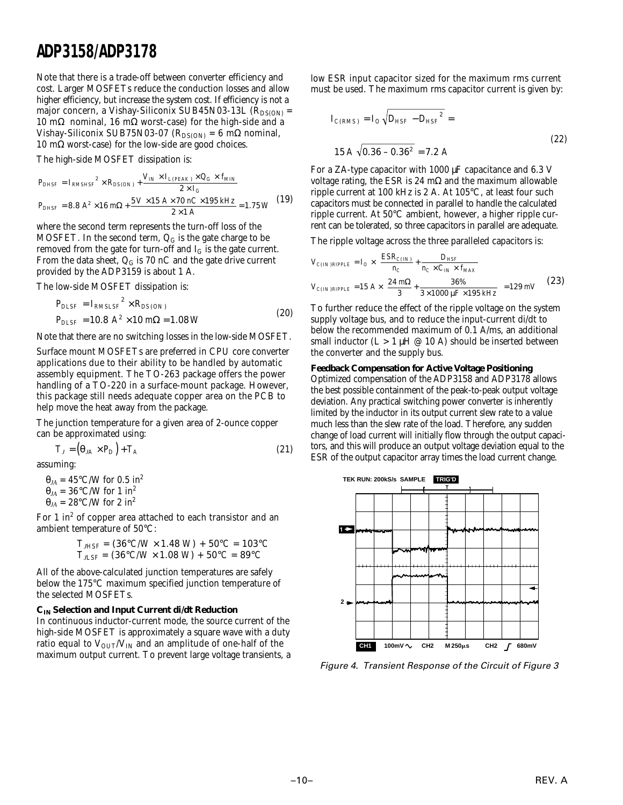Note that there is a trade-off between converter efficiency and cost. Larger MOSFETs reduce the conduction losses and allow higher efficiency, but increase the system cost. If efficiency is not a major concern, a Vishay-Siliconix SUB45N03-13L ( $R_{DS(ON)}$  = 10 mΩ nominal, 16 mΩ worst-case) for the high-side and a Vishay-Siliconix SUB75N03-07 ( $R_{DS(ON)} = 6$  m $\Omega$  nominal, 10 mΩ worst-case) for the low-side are good choices.

The high-side MOSFET dissipation is:

$$
P_{DHSF} = I_{RMSHSF}^{2} \times R_{DS(ON)} + \frac{V_{IN} \times I_{L(PEAK)} \times Q_{G} \times f_{MIN}}{2 \times I_{G}}
$$
  

$$
P_{DHSF} = 8.8 A^{2} \times 16 m\Omega + \frac{5 V \times 15 A \times 70 nC \times 195 kHz}{2 \times 1 A} = 1.75 W
$$
 (19)

where the second term represents the turn-off loss of the MOSFET. In the second term,  $Q_G$  is the gate charge to be removed from the gate for turn-off and  $I_G$  is the gate current. From the data sheet,  $Q_G$  is 70 nC and the gate drive current provided by the ADP3159 is about 1 A.

The low-side MOSFET dissipation is:

$$
P_{DLSF} = I_{RMSLSF}^{2} \times R_{DS(ON)}
$$
  
\n
$$
P_{DLSF} = 10.8 \ A^{2} \times 10 \ m\Omega = 1.08 \ W
$$
\n(20)

Note that there are no switching losses in the low-side MOSFET.

Surface mount MOSFETs are preferred in CPU core converter applications due to their ability to be handled by automatic assembly equipment. The TO-263 package offers the power handling of a TO-220 in a surface-mount package. However, this package still needs adequate copper area on the PCB to help move the heat away from the package.

The junction temperature for a given area of 2-ounce copper can be approximated using:

$$
T_J = \left(\Theta_{JA} \times P_D\right) + T_A \tag{21}
$$

assuming:

 $\theta_{JA} = 45^{\circ}$ C/W for 0.5 in<sup>2</sup>  $\theta_{JA} = 36^{\circ}$ C/W for 1 in<sup>2</sup>  $\theta$ <sub>*IA*</sub> = 28°C/W for 2 in<sup>2</sup>

For 1 in<sup>2</sup> of copper area attached to each transistor and an ambient temperature of 50°C:

$$
T_{JHSF} = (36^{\circ} C/W \times 1.48 W) + 50^{\circ} C = 103^{\circ} C
$$
  

$$
T_{JLSF} = (36^{\circ} C/W \times 1.08 W) + 50^{\circ} C = 89^{\circ} C
$$

All of the above-calculated junction temperatures are safely below the 175°C maximum specified junction temperature of the selected MOSFETs.

#### **CIN Selection and Input Current di/dt Reduction**

In continuous inductor-current mode, the source current of the high-side MOSFET is approximately a square wave with a duty ratio equal to  $V_{\text{OUT}}/V_{\text{IN}}$  and an amplitude of one-half of the maximum output current. To prevent large voltage transients, a low ESR input capacitor sized for the maximum rms current must be used. The maximum rms capacitor current is given by:

$$
I_{C(RMS)} = I_O \sqrt{D_{HSF} - D_{HSF}^2} =
$$
  
15 A  $\sqrt{0.36 - 0.36^2} = 7.2$  A (22)

For a ZA-type capacitor with 1000 µF capacitance and 6.3 V voltage rating, the ESR is 24 mΩ and the maximum allowable ripple current at 100 kHz is 2 A. At 105°C, at least four such capacitors must be connected in parallel to handle the calculated ripple current. At 50°C ambient, however, a higher ripple current can be tolerated, so three capacitors in parallel are adequate.

The ripple voltage across the three paralleled capacitors is:

$$
V_{C(IN) RIPPLE} = I_O \times \left(\frac{ESR_{C(IN)}}{n_C} + \frac{D_{HSF}}{n_C \times C_{IN} \times f_{MAX}}\right)
$$
  

$$
V_{C(IN) RIPPLE} = 15 A \times \left(\frac{24 m\Omega}{3} + \frac{36\%}{3 \times 1000 \,\mu F \times 195 \, kHz}\right) = 129 mV
$$
 (23)

To further reduce the effect of the ripple voltage on the system supply voltage bus, and to reduce the input-current di/dt to below the recommended maximum of 0.1 A/ms, an additional small inductor  $(L > 1 \mu H \oslash 10 \text{ A})$  should be inserted between the converter and the supply bus.

#### **Feedback Compensation for Active Voltage Positioning**

Optimized compensation of the ADP3158 and ADP3178 allows the best possible containment of the peak-to-peak output voltage deviation. Any practical switching power converter is inherently limited by the inductor in its output current slew rate to a value much less than the slew rate of the load. Therefore, any sudden change of load current will initially flow through the output capacitors, and this will produce an output voltage deviation equal to the ESR of the output capacitor array times the load current change.



Figure 4. Transient Response of the Circuit of Figure 3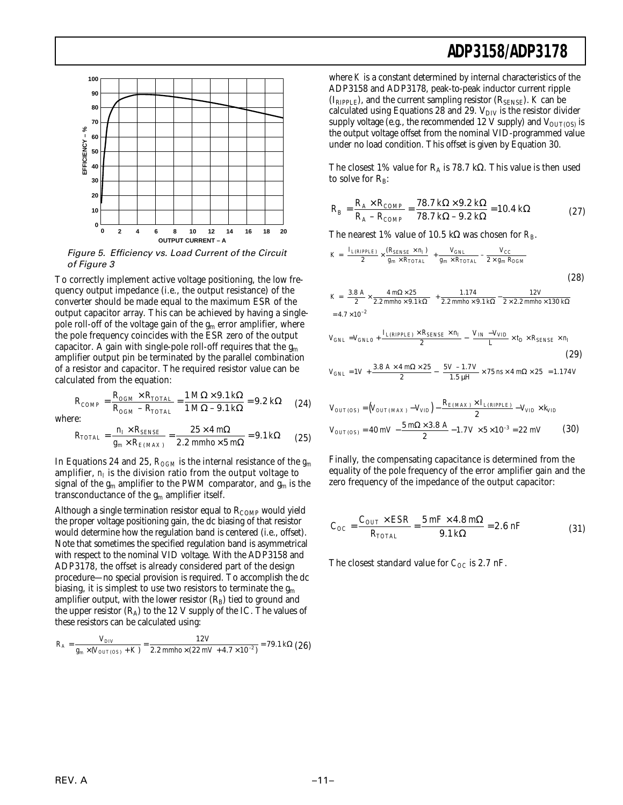

Figure 5. Efficiency vs. Load Current of the Circuit of Figure 3

To correctly implement active voltage positioning, the low frequency output impedance (i.e., the output resistance) of the converter should be made equal to the maximum ESR of the output capacitor array. This can be achieved by having a singlepole roll-off of the voltage gain of the  $g_m$  error amplifier, where the pole frequency coincides with the ESR zero of the output capacitor. A gain with single-pole roll-off requires that the  $g_m$ amplifier output pin be terminated by the parallel combination of a resistor and capacitor. The required resistor value can be calculated from the equation:

$$
R_{COMP} = \frac{R_{OGM} \times R_{TOTAL}}{R_{OGM} - R_{TOTAL}} = \frac{1 \, M\Omega \times 9.1 \, k\Omega}{1 \, M\Omega - 9.1 \, k\Omega} = 9.2 \, k\Omega \tag{24}
$$

where:

$$
R_{TOTAL} = \frac{n_I \times R_{SENSE}}{g_m \times R_{E(MAX)}} = \frac{25 \times 4 \text{ m}\Omega}{2.2 \text{ mm}h o \times 5 \text{ m}\Omega} = 9.1 \text{ k}\Omega \tag{25}
$$

In Equations 24 and 25,  $R_{OGM}$  is the internal resistance of the  $g_m$ amplifier,  $n_I$  is the division ratio from the output voltage to signal of the  $g_m$  amplifier to the PWM comparator, and  $g_m$  is the transconductance of the  $g_m$  amplifier itself.

Although a single termination resistor equal to  $R_{\text{COMP}}$  would yield the proper voltage positioning gain, the dc biasing of that resistor would determine how the regulation band is centered (i.e., offset). Note that sometimes the specified regulation band is asymmetrical with respect to the nominal VID voltage. With the ADP3158 and ADP3178, the offset is already considered part of the design procedure—no special provision is required. To accomplish the dc biasing, it is simplest to use two resistors to terminate the  $g_m$ amplifier output, with the lower resistor  $(R_B)$  tied to ground and the upper resistor  $(R_A)$  to the 12 V supply of the IC. The values of these resistors can be calculated using:

$$
R_A = \frac{V_{DIV}}{g_m \times (V_{OUT(OS)} + K)} = \frac{12 V}{2.2 \text{ mm} \hbar o \times (22 \text{ mV} + 4.7 \times 10^{-2})} = 79.1 \text{ k}\Omega \text{ (26)}
$$

where *K* is a constant determined by internal characteristics of the ADP3158 and ADP3178, peak-to-peak inductor current ripple  $(I_{RIPPLE})$ , and the current sampling resistor  $(R_{SENSE})$ . *K* can be calculated using Equations 28 and 29.  $V_{\text{DIV}}$  is the resistor divider supply voltage (e.g., the recommended 12 V supply) and  $V_{\text{OUT(OS)}}$  is the output voltage offset from the nominal VID-programmed value under no load condition. This offset is given by Equation 30.

The closest 1% value for  $R_A$  is 78.7 kΩ. This value is then used to solve for  $R_B$ :

$$
R_B = \frac{R_A \times R_{COMP}}{R_A - R_{COMP}} = \frac{78.7 \, k\Omega \times 9.2 \, k\Omega}{78.7 \, k\Omega - 9.2 \, k\Omega} = 10.4 \, k\Omega \tag{27}
$$

The nearest 1% value of 10.5 kΩ was chosen for *RB*.

$$
K = \left(\frac{I_{L(RIPPLE)}}{2} \times \frac{(R_{SENSE} \times n_I)}{g_m \times R_{TOTAL}}\right) + \frac{V_{GNL}}{g_m \times R_{TOTAL}} - \frac{V_{CC}}{2 \times g_m R_{OGM}}
$$
(28)

$$
K = \left(\frac{3.8 \text{ A}}{2} \times \frac{4 \text{ m}\Omega \times 25}{2.2 \text{ mm}h o \times 9.1 \text{ k}\Omega}\right) + \frac{1.174}{2.2 \text{ mm}h o \times 9.1 \text{ k}\Omega} - \frac{12 \text{ V}}{2 \times 2.2 \text{ mm}h o \times 130 \text{ k}\Omega}
$$
  
= 4.7 × 10<sup>-2</sup>

$$
V_{GNL} = V_{GNL0} + \frac{I_{L(RIPPLE)} \times R_{SENSE} \times n_I}{2} - \left(\frac{V_{IN} - V_{VID}}{L} \times t_D \times R_{SENSE} \times n_I\right)
$$
\n(29)  
\n
$$
V_{GNL} = 1V + \frac{3.8 \ A \times 4 \ m\Omega \times 25}{2} - \left(\frac{5 V - 1.7 V}{1.5 \ \mu H} \times 75 \ n\text{s} \times 4 \ m\Omega \times 25\right) = 1.174 \ V
$$

$$
V_{OUT(OS)} = (V_{OUT(MAX)} - V_{VID}) - \frac{R_{E(MAX)} \times I_{L(RIPPLE)}}{2} - V_{VID} \times k_{VID}
$$
  

$$
V_{OUT(OS)} = 40 \ mV - \frac{5 \ m\Omega \times 3.8 \ A}{2} - 1.7 \ V \times 5 \times 10^{-3} = 22 \ mV
$$
 (30)

Finally, the compensating capacitance is determined from the equality of the pole frequency of the error amplifier gain and the zero frequency of the impedance of the output capacitor:

$$
C_{OC} = \frac{C_{OUT} \times ESR}{R_{TOTAL}} = \frac{5 \, mF \times 4.8 \, m\Omega}{9.1 \, k\Omega} = 2.6 \, nF \tag{31}
$$

The closest standard value for  $C_{OC}$  is 2.7 nF.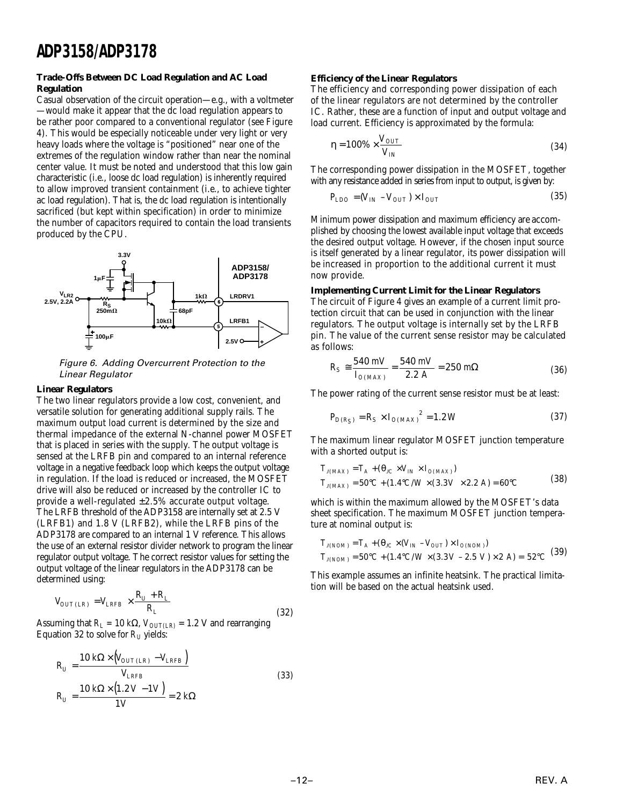#### **Trade-Offs Between DC Load Regulation and AC Load Regulation**

Casual observation of the circuit operation—e.g., with a voltmeter —would make it appear that the dc load regulation appears to be rather poor compared to a conventional regulator (see Figure 4). This would be especially noticeable under very light or very heavy loads where the voltage is "positioned" near one of the extremes of the regulation window rather than near the nominal center value. It must be noted and understood that this low gain characteristic (i.e., loose dc load regulation) is inherently required to allow improved transient containment (i.e., to achieve tighter ac load regulation). That is, the dc load regulation is intentionally sacrificed (but kept within specification) in order to minimize the number of capacitors required to contain the load transients produced by the CPU.



Figure 6. Adding Overcurrent Protection to the Linear Regulator

#### **Linear Regulators**

The two linear regulators provide a low cost, convenient, and versatile solution for generating additional supply rails. The maximum output load current is determined by the size and thermal impedance of the external N-channel power MOSFET that is placed in series with the supply. The output voltage is sensed at the LRFB pin and compared to an internal reference voltage in a negative feedback loop which keeps the output voltage in regulation. If the load is reduced or increased, the MOSFET drive will also be reduced or increased by the controller IC to provide a well-regulated  $\pm 2.5\%$  accurate output voltage. The LRFB threshold of the ADP3158 are internally set at 2.5 V (LRFB1) and 1.8 V (LRFB2), while the LRFB pins of the ADP3178 are compared to an internal 1 V reference. This allows the use of an external resistor divider network to program the linear regulator output voltage. The correct resistor values for setting the output voltage of the linear regulators in the ADP3178 can be determined using:

$$
V_{OUT(LR)} = V_{LRFB} \times \frac{R_U + R_L}{R_L}
$$
\n(32)

Assuming that  $R_L = 10 \text{ k}\Omega$ ,  $V_{OUT(LR)} = 1.2 \text{ V}$  and rearranging Equation 32 to solve for  $R_U$  yields:

$$
R_U = \frac{10 \, k\Omega \times (V_{OUT(LR)} - V_{LRFB})}{V_{LRFB}}
$$
\n
$$
R_U = \frac{10 \, k\Omega \times (1.2 \, V - 1 \, V)}{1 \, V} = 2 \, k\Omega
$$
\n(33)

#### **Efficiency of the Linear Regulators**

The efficiency and corresponding power dissipation of each of the linear regulators are not determined by the controller IC. Rather, these are a function of input and output voltage and load current. Efficiency is approximated by the formula:

$$
\eta = 100\% \times \frac{V_{OUT}}{V_{IN}}\tag{34}
$$

The corresponding power dissipation in the MOSFET, together with any resistance added in series from input to output, is given by:

$$
P_{LDO} = (V_{IN} - V_{OUT}) \times I_{OUT} \tag{35}
$$

Minimum power dissipation and maximum efficiency are accomplished by choosing the lowest available input voltage that exceeds the desired output voltage. However, if the chosen input source is itself generated by a linear regulator, its power dissipation will be increased in proportion to the additional current it must now provide.

#### **Implementing Current Limit for the Linear Regulators**

The circuit of Figure 4 gives an example of a current limit protection circuit that can be used in conjunction with the linear regulators. The output voltage is internally set by the LRFB pin. The value of the current sense resistor may be calculated as follows:

$$
R_S \approx \frac{540 \text{ mV}}{I_{O(MAX)}} = \frac{540 \text{ mV}}{2.2 \text{ A}} = 250 \text{ m}\Omega \tag{36}
$$

The power rating of the current sense resistor must be at least:

$$
P_{D(R_S)} = R_S \times I_{O(MAX)}^2 = 1.2 W
$$
 (37)

The maximum linear regulator MOSFET junction temperature with a shorted output is:

$$
T_{J(MAX)} = T_A + (\theta_{JC} \times V_{IN} \times I_{O(MAX)})
$$
  
\n
$$
T_{J(MAX)} = 50^{\circ}C + (1.4^{\circ}C/W \times (3.3 V \times 2.2 A) = 60^{\circ}C
$$
\n(38)

which is within the maximum allowed by the MOSFET's data sheet specification. The maximum MOSFET junction temperature at nominal output is:

$$
T_{J(NOM)} = T_A + (\theta_{JC} \times (V_{IN} - V_{OUT}) \times I_{O(NOM)})
$$
  
\n
$$
T_{J(NOM)} = 50^{\circ}C + (1.4^{\circ}C/W \times (3.3 V - 2.5 V) \times 2 A) = 52^{\circ}C
$$
 (39)

This example assumes an infinite heatsink. The practical limitation will be based on the actual heatsink used.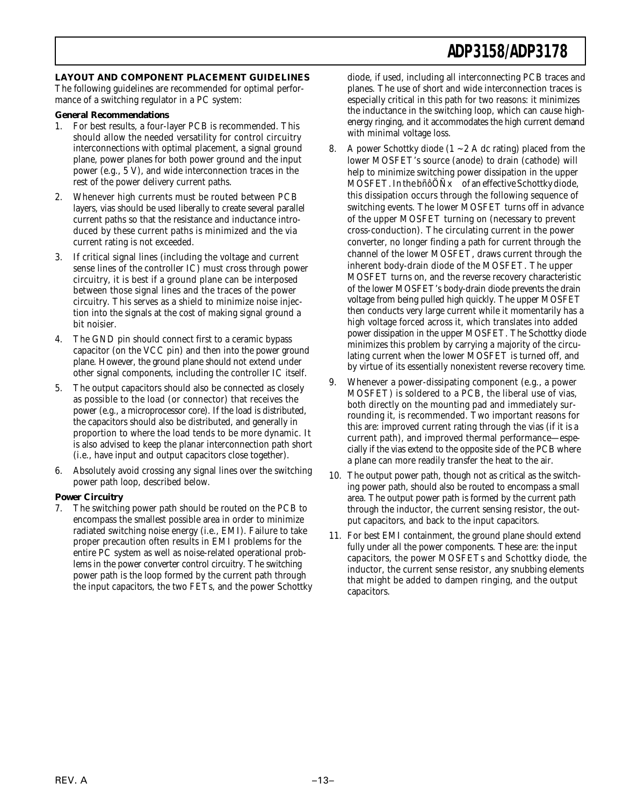#### **LAYOUT AND COMPONENT PLACEMENT GUIDELINES**

The following guidelines are recommended for optimal performance of a switching regulator in a PC system:

#### **General Recommendations**

- 1. For best results, a four-layer PCB is recommended. This should allow the needed versatility for control circuitry interconnections with optimal placement, a signal ground plane, power planes for both power ground and the input power (e.g., 5 V), and wide interconnection traces in the rest of the power delivery current paths.
- 2. Whenever high currents must be routed between PCB layers, vias should be used liberally to create several parallel current paths so that the resistance and inductance introduced by these current paths is minimized and the via current rating is not exceeded.
- 3. If critical signal lines (including the voltage and current sense lines of the controller IC) must cross through power circuitry, it is best if a ground plane can be interposed between those signal lines and the traces of the power circuitry. This serves as a shield to minimize noise injection into the signals at the cost of making signal ground a bit noisier.
- 4. The GND pin should connect first to a ceramic bypass capacitor (on the VCC pin) and then into the power ground plane. However, the ground plane should not extend under other signal components, including the controller IC itself.
- 5. The output capacitors should also be connected as closely as possible to the load (or connector) that receives the power (e.g., a microprocessor core). If the load is distributed, the capacitors should also be distributed, and generally in proportion to where the load tends to be more dynamic. It is also advised to keep the planar interconnection path short (i.e., have input and output capacitors close together).
- 6. Absolutely avoid crossing any signal lines over the switching power path loop, described below.

#### **Power Circuitry**

7. The switching power path should be routed on the PCB to encompass the smallest possible area in order to minimize radiated switching noise energy (i.e., EMI). Failure to take proper precaution often results in EMI problems for the entire PC system as well as noise-related operational problems in the power converter control circuitry. The switching power path is the loop formed by the current path through the input capacitors, the two FETs, and the power Schottky

diode, if used, including all interconnecting PCB traces and planes. The use of short and wide interconnection traces is especially critical in this path for two reasons: it minimizes the inductance in the switching loop, which can cause highenergy ringing, and it accommodates the high current demand with minimal voltage loss.

- 8. A power Schottky diode  $(1 2)$  A dc rating) placed from the lower MOSFET's source (anode) to drain (cathode) will help to minimize switching power dissipation in the upper MOSFET. In the bñôÖÑx of an effective Schottky diode, this dissipation occurs through the following sequence of switching events. The lower MOSFET turns off in advance of the upper MOSFET turning on (necessary to prevent cross-conduction). The circulating current in the power converter, no longer finding a path for current through the channel of the lower MOSFET, draws current through the inherent body-drain diode of the MOSFET. The upper MOSFET turns on, and the reverse recovery characteristic of the lower MOSFET's body-drain diode prevents the drain voltage from being pulled high quickly. The upper MOSFET then conducts very large current while it momentarily has a high voltage forced across it, which translates into added power dissipation in the upper MOSFET. The Schottky diode minimizes this problem by carrying a majority of the circulating current when the lower MOSFET is turned off, and by virtue of its essentially nonexistent reverse recovery time.
- 9. Whenever a power-dissipating component (e.g., a power MOSFET) is soldered to a PCB, the liberal use of vias, both directly on the mounting pad and immediately surrounding it, is recommended. Two important reasons for this are: improved current rating through the vias (if it is a current path), and improved thermal performance—especially if the vias extend to the opposite side of the PCB where a plane can more readily transfer the heat to the air.
- 10. The output power path, though not as critical as the switching power path, should also be routed to encompass a small area. The output power path is formed by the current path through the inductor, the current sensing resistor, the output capacitors, and back to the input capacitors.
- 11. For best EMI containment, the ground plane should extend fully under all the power components. These are: the input capacitors, the power MOSFETs and Schottky diode, the inductor, the current sense resistor, any snubbing elements that might be added to dampen ringing, and the output capacitors.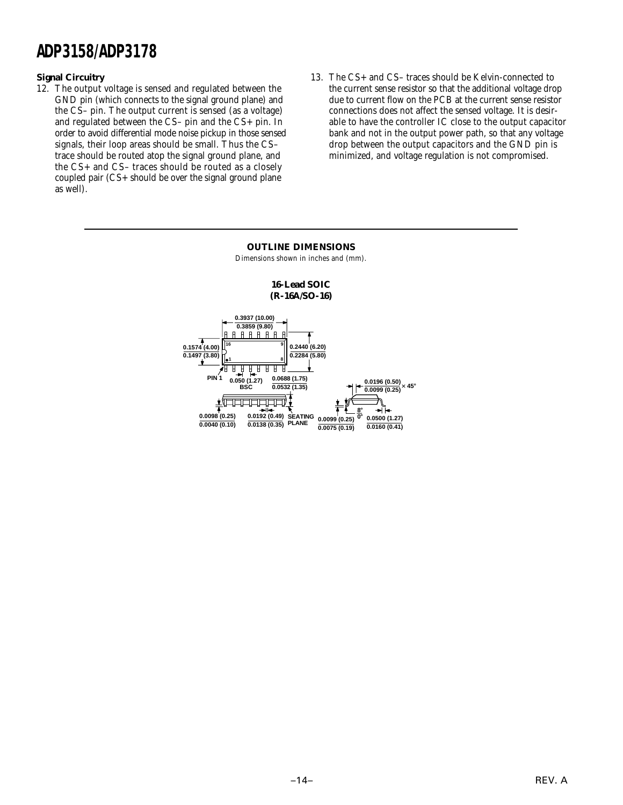#### **Signal Circuitry**

- 12. The output voltage is sensed and regulated between the GND pin (which connects to the signal ground plane) and the CS– pin. The output current is sensed (as a voltage) and regulated between the CS– pin and the CS+ pin. In order to avoid differential mode noise pickup in those sensed signals, their loop areas should be small. Thus the CS– trace should be routed atop the signal ground plane, and the CS+ and CS– traces should be routed as a closely coupled pair (CS+ should be over the signal ground plane as well).
- 13. The CS+ and CS– traces should be Kelvin-connected to the current sense resistor so that the additional voltage drop due to current flow on the PCB at the current sense resistor connections does not affect the sensed voltage. It is desirable to have the controller IC close to the output capacitor bank and not in the output power path, so that any voltage drop between the output capacitors and the GND pin is minimized, and voltage regulation is not compromised.

#### **OUTLINE DIMENSIONS** Dimensions shown in inches and (mm). **16-Lead SOIC (R-16A/SO-16) 0.3937 (10.00) 0.3859 (9.80)** <u> A A A A A A A</u> **0.1574 (4.00) 0.2440 (6.20) 16 9 0.1497 (3.80) 0.2284 (5.80) 1 8** T <u>मृत्त स स</u> **0.0688 (1.75) PIN 1 0.050 (1.27) 0.0196 (0.50) 0.0099 (0.25) 45**- **0.0532 (1.35) BSC**  $+$ **8**-**0.0098 (0.25) 0.0500 (1.27) SEATING 0.0192 (0.49) 0**-**0.0099 (0.25) 0.0040 (0.10) PLANE 0.0138 (0.35) 0.0160 (0.41) 0.0075 (0.19)**